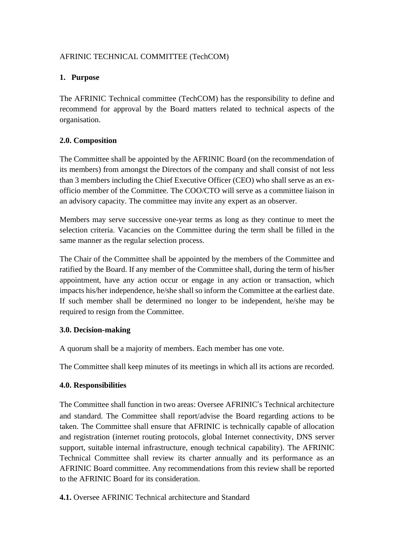## AFRINIC TECHNICAL COMMITTEE (TechCOM)

### **1. Purpose**

The AFRINIC Technical committee (TechCOM) has the responsibility to define and recommend for approval by the Board matters related to technical aspects of the organisation.

# **2.0. Composition**

The Committee shall be appointed by the AFRINIC Board (on the recommendation of its members) from amongst the Directors of the company and shall consist of not less than 3 members including the Chief Executive Officer (CEO) who shall serve as an exofficio member of the Committee. The COO/CTO will serve as a committee liaison in an advisory capacity. The committee may invite any expert as an observer.

Members may serve successive one-year terms as long as they continue to meet the selection criteria. Vacancies on the Committee during the term shall be filled in the same manner as the regular selection process.

The Chair of the Committee shall be appointed by the members of the Committee and ratified by the Board. If any member of the Committee shall, during the term of his/her appointment, have any action occur or engage in any action or transaction, which impacts his/her independence, he/she shall so inform the Committee at the earliest date. If such member shall be determined no longer to be independent, he/she may be required to resign from the Committee.

### **3.0. Decision-making**

A quorum shall be a majority of members. Each member has one vote.

The Committee shall keep minutes of its meetings in which all its actions are recorded.

### **4.0. Responsibilities**

The Committee shall function in two areas: Oversee AFRINIC's Technical architecture and standard. The Committee shall report/advise the Board regarding actions to be taken. The Committee shall ensure that AFRINIC is technically capable of allocation and registration (internet routing protocols, global Internet connectivity, DNS server support, suitable internal infrastructure, enough technical capability). The AFRINIC Technical Committee shall review its charter annually and its performance as an AFRINIC Board committee. Any recommendations from this review shall be reported to the AFRINIC Board for its consideration.

**4.1.** Oversee AFRINIC Technical architecture and Standard